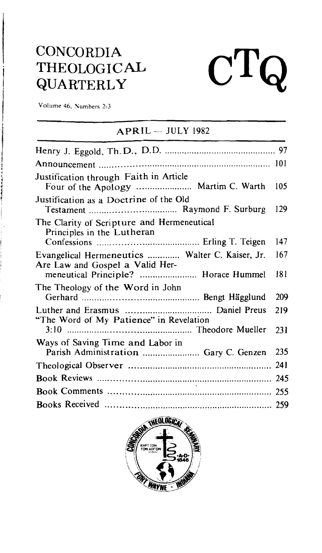# **CONCORDIA** THEOLOGICAL QUARTERLY

### Volume 46, Numbers 2-3

### $APRIL - JULY 1982$

 $\mathbf{C}^{\mathbf{T}}$ 

| Justification through Faith in Article                                    | 105 |
|---------------------------------------------------------------------------|-----|
| Justification as a Doctrine of the Old                                    | 129 |
| The Clarity of Scripture and Hermeneutical<br>Principles in the Lutheran  |     |
|                                                                           | 147 |
| Evangelical Hermeneutics  Walter C. Kaiser, Jr.                           | 167 |
| Are Law and Gospel a Valid Her-                                           | 181 |
| The Theology of the Word in John                                          | 209 |
| "The Word of My Patience" in Revelation                                   | 219 |
|                                                                           | 231 |
| Ways of Saving Time and Labor in<br>Parish Administration  Gary C. Genzen | 235 |
|                                                                           | 241 |
|                                                                           |     |
| $\sim$                                                                    |     |
|                                                                           |     |

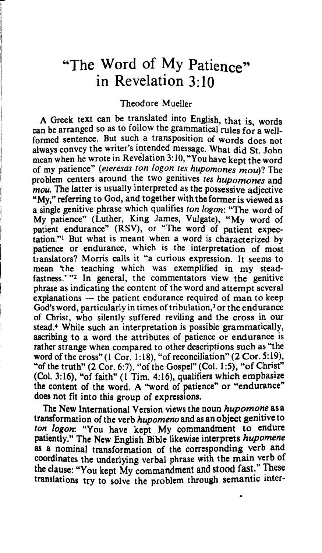# "The Word of My Patience" in Revelation **3:** 10

#### Theodore Mueller

**A** Greek text Can be translated into English, that is, words can be arranged so as to follow the grammatical rules for a wellformed sentence. But such **a** transposition of words does not always convey the writer's intended message. What did St, John mean when he wrote in Revelation 3:10, "You have kept the word of my patience" (eteresas ton logon tes hupomones mou)? The problem centers around the two genitives tes hupomones and *mou.* The latter is usually interpreted as the possessive adjective **"MY,"** referring to God, and together with the former is viewed as a single genitive phrase which qualifies ton *logon*: "The word of **My** patience" (Luther, King James, Vulgate), "My word of patient endurance" **(RSV),** or "The word of patient expectation."l But what is meant when a word is characterized by patience or endurance, which is the interpretation of most translators? Morris calls it "a curious expression. It seems to mean 'the teaching which was exemplified in my steadfastness."<sup>2</sup> In general, the commentators view the genitive phrase as indicating the content of the word and attempt several explanations  $-$  the patient endurance required of man to keep God's word, particularly in times of tribulation,<sup>3</sup> or the endurance of Christ, who silently suffered reviling and the **cross** in our stead.' While such an interpretation is possible grammatically, ascribing to a word the attributes of patience or endurance is rather strange when compared to other descriptions such as "the word of the cross" (1 Cor. 1:18), "of reconciliation" (2 Cor. 5:19), "of the truth" (2 Cor. **6:7),** "of the Gospel" (Col. **1:5),** "of Christ" (Col. 3: 16), "of faith" (1 Tim. 4: 16), qualifiers which emphasize the content of the word. A "word of patience" or "endurance" does not fit into this group of expressions.

The New International Version views the noun *hupomone* as a transformation of the verb *hupomeno* and as an object genitive to *ton logon:* "You have kept My commandment to endure patiently." The **New** English Bible likewise interprets *hupomene*  **as** a nominal transformation of the corresponding verb and coordinates the underlying verbal phrase with the main verb of the clause: "You kept My commandment and stood fast." These translations try to solve the problem through semantic inter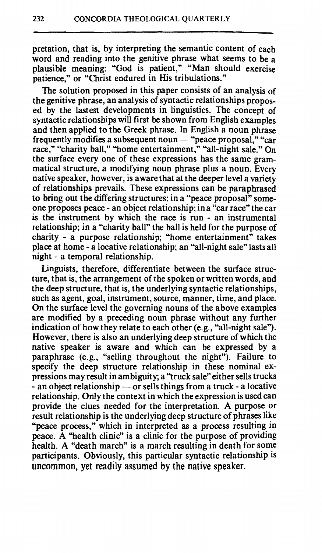pretation, that is, by interpreting the semantic content of each word and reading into the genitive phrase what seems to be a plausible meaning: "God is patient," "Man should exercise patience," or "Christ endured in His tribulations."

The solution proposed in this paper consists of an analysis of the genitive phrase, an analysis of syntactic relationships proposed by the lastest developments in linguistics. The concept of syntactic relationships will first be shown from English examples and then applied to the Greek phrase. In English a noun phrase frequently modifies a subsequent noun  $-$  "peace proposal," "car race," "charity ball," "home entertainment," "all-night sale." On the surface every one of these expressions has the same grammatical structure, a modifying noun phrase plus a noun. Every native speaker, however, is aware that **at** the deeper level a variety of relationships prevails. These expressions can be paraphrased to bring out the differing structures: in a "peace proposal" someone proposes peace - an object relationship; in a "car race" the car is the instrument by which the race is run - an instrumental relationship; in a "charity ball" the ball is held for the purpose of charity - a purpose relationship; "home entertainment" takes place at home - a locative relationship; an "all-night sale" lasts all night - a temporal relationship.

Linguists, therefore, differentiate between the surface structure, that is, the arrangement of the spoken or written words, and the deep structure, that is, the underlying syntactic relationships, such as agent, goal, instrument, source, manner, time, and place. On the surface level the governing nouns of the above examples are modified by a preceding noun phrase without any further indication of how they relate to each other (e.g., "all-night sale"). However, there is also an underlying deep structure of which the native speaker is aware and which can be expressed by a paraphrase (e.g., "selling throughout the night"). Failure to specify the deep structure relationship in these nominal expressions may result in ambiguity; a "truck sale" either sells trucks specify the deep structure relationship in these nominal ex-<br>pressions may result in ambiguity; a "truck sale" either sells trucks<br>- an object relationship — or sells things from a truck - a locative<br>relationship. Only the relationship. Only the context in which the expression is used can provide the clues needed for the interpretation. A purpose or result relationship is the underlying deep structure of phrases like 'peace process," which in interpreted as a process resulting in peace. A "health clinic" is a clinic for the purpose of providing health. A "death march" is a march resulting in death for some participants. Obviously, this particular syntactic relationship is uncommon, yet readily assumed by the native speaker.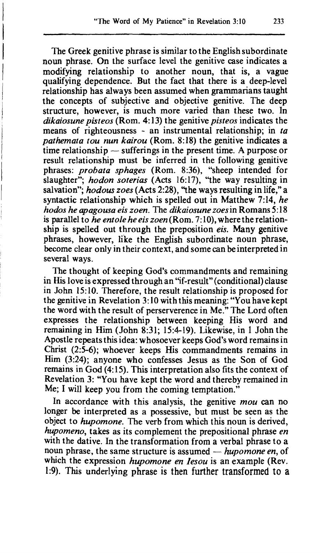The Greek genitive phrase is similar to the English subordinate noun phrase. On the surface level the genitive case indicates a modifying relationship to another noun, that is, a vague qualifying dependence. But the fact that there is a deep-level relationship has always been assumed when grammarians taught the concepts of subjective and objective genitive. The deep structure, however, is much more varied than these two. In *dikaiosune pisteos* (Rom. *4:* 13) the genitive *pisteos* indicates the means of righteousness - an instrumental relationship; in *ta pathemata tou nun kairou* (Rom. 8:18) the genitive indicates a means of righteousness - an instrumental relationship; in *ta*<br>pathemata tou nun kairou (Rom. 8:18) the genitive indicates a<br>time relationship — sufferings in the present time. A purpose or result relationship must be inferred in the following genitive phrases: *probata sphages* (Rom. 8:36), "sheep intended for slaughter"; *hodon soterias* (Acts 16:17), "the way resulting in salvation"; *hodous zoes* (Acts **2:28),** "the ways resulting in life," a syntactic relationship which is spelled out in Matthew 7:14, *he hodos he apagousa eis zoen.* The *dikaiosune* **zoesin** Romans 5: 18 is parallel to he entole he eis zoen (Rom. 7:10), where the relationship is spelled out through the preposition *eis.* Many genitive phrases, however, like the English subordinate noun phrase, become clear only in their context, and some can be interpreted in several ways.

The thought of keeping God's commandments and remaining in His love is expressed through an "if-result" (conditional) clause in John 15: 10. Therefore, the result relationship is proposed for the genitive in Revelation 3:10 with this meaning: "You have kept the word with the result of perserverence in Me." The Lord often expresses the relationship between keeping His word and remaining in Him (John 8:31; 15:4-19). Likewise, in 1 John the Apostle repeats this idea: whosoever keeps God's word remains in Christ (2:5-6); whoever keeps His commandments remains in Him (3:24); anyone who confesses Jesus as the Son of God remains in God (4: 15). This interpretation also fits the context of Revelation 3: "You have kept the word and thereby remained in Me; I will keep you from the coming temptation."

In accordance with this analysis, the genitive *mou* can no longer be interpreted as a possessive, but must be seen as the object to *hupomone.* The verb from which this noun is derived, *hupomeno,* takes as its complement the prepositional phrase *en*  with the dative. In the transformation from a verbal phrase to a hupomeno, takes as its complement the prepositional phrase en<br>with the dative. In the transformation from a verbal phrase to a<br>noun phrase, the same structure is assumed — *hupomone en*, of<br>which the aumension hupomone are which the expression *hupomone en lesou* is an example (Rev. 1:) This underlying phrase is then further **transformed** to **a**